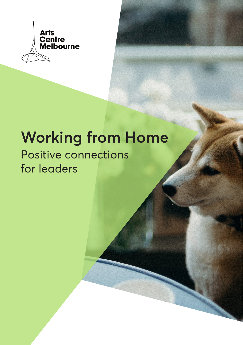

# **Working from Home**

# Positive connections for leaders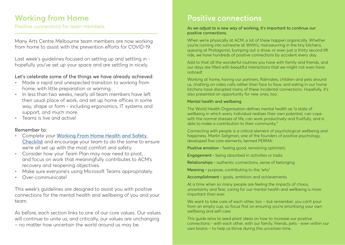# **Working from Home**

Positive connections for team members and the Matteo As we adjust to a new way of working, it's important to continue our

Many Arts Centre Melbourne team members are now working from home to assist with the prevention efforts for COVID-19.

Last week's guidelines focused on setting up and settling in hopefully you've set up your space and are settling in nicely.

### Let's celebrate some of the things we have already achieved:

- Made a rapid and unexpected transition to working from home, with little preparation or warning.
- In less than two weeks, nearly all team members have left their usual place of work, and set up home offices in some way, shape or form - including ergonomics, IT systems and support, and much more.
- Teams is live and active!

### Remember to:

- Complete your [Working From Home Health and Safety](https://artscentre.sharepoint.com/:w:/r/sites/centre_stage/corporatetools/_layouts/15/Doc.aspx?sourcedoc=%7BEED460AB-127C-476F-9756-A8D2BA76A311%7D&file=Working%20from%20Home%20Health%20and%20Safety%20Checklist.doc&action=default&mobileredirect=true&DefaultItemOpen=1&cid=7d72ad3a-e8b5-4b6f-a964-52b80c36e6ee)  [Checklist](https://artscentre.sharepoint.com/:w:/r/sites/centre_stage/corporatetools/_layouts/15/Doc.aspx?sourcedoc=%7BEED460AB-127C-476F-9756-A8D2BA76A311%7D&file=Working%20from%20Home%20Health%20and%20Safety%20Checklist.doc&action=default&mobileredirect=true&DefaultItemOpen=1&cid=7d72ad3a-e8b5-4b6f-a964-52b80c36e6ee) and encourage your team to do the same to ensure we're all set up with the most comfort and safety.
- Consider how your Team Plan may now need to pivot, and focus on work that meaningfully contributes to ACM's recovery and reopening objectives.
- Make sure everyone's using Microsoft Teams appropriately.
- Over-communicate!

This week's guidelines are designed to assist you with positive connections for the mental health and wellbeing of you and your team.

As before, each section links to one of our core values. Our values will continue to unite us, and critically, our values are unchanging – no matter how uncertain the world around us may be.

# **Positive connections**

positive connections.

When we're physically at ACM, a lot of these happen organically. Whether you're running into someone at Wirth's, manoeuvring in the tiny kitchens, queuing at Protagonist, bumping out a show, or even just a thirty second lift ride, we have hundreds of positive connections by accident every day.

Add to that all the wonderful routines you have with family and friends, and our days are filled with beautiful interactions that we might not even have noticed!

Working at home, having our partners, flatmates, children and pets around us, chatting on video calls rather than face to face, and eating in our home kitchens have disrupted many of these incidental connections. Hopefully, it's also presented an opportunity for new ones, too.

#### Mental health and wellbeing

The World Health Organisation defines mental health as "a state of wellbeing in which every individual realises their own potential, can cope with the normal stresses of life, can work productively and fruitfully, and is able to make a contribution to their community."

Connecting with people is a critical element of psychological wellbeing and happiness. Martin Seligman, one of the founders of positive psychology, developed five core elements, termed PERMA:

Positive emotion - feeling good, remaining optimistic

Engagement - being absorbed in activities or tasks

Relationships - authentic connections, sense of belonging

Meaning - purpose, contributing to the 'why'

Accomplishment - goals, ambition and achievements

At a time when so many people are feeling the impacts of chaos, uncertainty and fear, caring for our mental health and wellbeing is more important than ever.

We want to take care of each other, too – but remember, you can't pour from an empty cup, so focus first on ensuring you're prioritising your own wellbeing and self-care.

This guide aims to seed plant ideas on how to increase our positive connections - with each other, with our family, friends, pets - even within our own brains – to help us thrive during this uncertain time.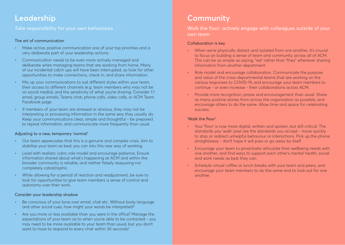### **Leadership**

#### Take responsibility for your own behaviours

#### The art of communication

- Make active, positive communication one of your top priorities and a very deliberate part of your leadership actions.
- Communication needs to be even more actively managed and deliberate when managing teams that are working from home. Many of our incidental catch ups will have been interrupted, so look for other opportunities to make connections, check in, and share information.
- Mix up your communications to suit different styles within your team, their access to different channels (e.g. team members who may not be on social media), and the sensitivity of what you're sharing. Consider 1:1 email, group emails, Teams chat, phone calls, video calls, or ACM Team Facebook page.
- If members of your team are stressed or anxious, they may not be interpreting or processing information in the same way they usually do. Keep your communications clear, simple and thoughtful - be prepared to repeat information, and communicate more frequently than usual.

#### Adjusting to a new, temporary 'normal'

- Our team appreciates that this is a genuine and complex crisis. Aim to stabilise your team as best you can into this new way of working.
- Lead with realistic calm; role model and encourage patience. Ensure information shared about what's happening at ACM and within the broader community is reliable, and neither falsely reassuring nor completely catastrophic.
- While allowing for a period of reaction and readjustment, be sure to look for opportunities to give team members a sense of control and autonomy over their work.

#### Consider your leadership shadow

- Be conscious of your tone over email, chat etc. Without body language and other social cues, how might your words be interpreted?
- Are you more or less available than you were in the office? Manage the expectations of your team as to when you're able to be contacted - you may need to be more available to your team than usual, but you don't want to have to respond to every chat within 30 seconds!

# **Community**

Walk the floor: actively engage with colleagues outside of your own team

#### Collaboration is key

- When we're physically distant and isolated from one another, it's crucial to focus on building a sense of team and community across all of ACM. This can be as simple as saying, "we" rather than "they" whenever sharing information from another department.
- Role model and encourage collaboration. Communicate the purpose and value of the cross-departmental teams that are working on the various responses to COVID-19, and encourage your team members to continue - or even increase - their collaborations across ACM.
- Provide more recognition, praise and encouragement than usual. Share as many positive stories from across the organisation as possible, and encourage others to do the same. Allow time and space for celebrating success.

#### 'Walk the floor'

- Your 'floor' is now more digital, written and spoken, but still critical. The standards you 'walk' past are the standards you accept - move quickly to stop or redirect unhelpful behaviour or interactions. Pick up the phone straightaway - don't hope it will pass or go away by itself.
- Encourage your team to proactively articulate their wellbeing needs with one another, and find ways to support each other's mental health, social and work needs as best they can.
- Schedule virtual coffee or lunch breaks with your team and peers, and encourage your team members to do the same and to look out for one another.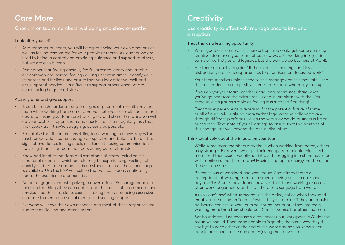### **Care More**

Check in on team members' wellbeing and show empathy

#### Look after yourself

- As a manager or leader, you will be experiencing your own emotions as well as feeling responsible for your people or teams. As leaders, we are used to being in control and providing guidance and support to others, but we are also human.
- Remember that feeling anxious, fearful, stressed, angry and irritable are common and normal feelings during uncertain times. Identify your responses and feelings and ensure that you look after yourself and get support if needed. It is difficult to support others when we are experiencing heightened stress.

#### Actively offer and give support

- It can be much harder to read the signs of poor mental health in your team when working from home. Communicate your explicit concern and desire to ensure your team are tracking ok, and share that while you will do your best to support them and check in on them regularly, ask that they speak up if they're struggling, as early as possible.
- Empathise that it can feel unsettling to be working in a new way without much preparation, but encourage perspective and balance. Be alert to signs of avoidance, feeling stuck, resistance to using communications tools (e.g. teams), or team members acting out of character.
- Know and identify the signs and symptoms of stress, including the emotional responses which people may be experiencing. Feelings of anxiety and fear are normal in circumstances such as these, and support is available. Use the EAP yourself so that you can speak confidently about the experience and benefits.
- Do not engage in "catastrophizing" conversations. Encourage people to focus on the things they can control, and the basics of good mental and physical health - diet, sleep, exercise, taking breaks, reducing excessive exposure to media and social media, and seeking support.
- Everyone will have their own response and most of these responses are due to fear. Be kind and offer support.

# **Creativity**

Use creativity to effectively manage uncertainty and disruption

### Treat this as a learning opportunity

- What good can come of this new set up? You could get some amazing creative ideas from your team about new ways of working (not just in terms of work styles and logistics, but the way we do business at ACM).
- Are there productivity gains? If there are less meetings and less distractions, are there opportunities to prioritise more focussed work?
- Your team members might need to self-manage and self motivate see this self leadership as a positive. Learn from those who really step up.
- If you and/or your team members had long commutes, share what you've gained from the extra time - sleep in, breakfast with the kids, exercise, even just as simple as feeling less stressed first thing!
- Treat this experience as a rehearsal for the potential future of some or all of our work - utilising more technology, working collaboratively through different platforms - even the very way we do business is being questioned. Take note of your learnings to ensure that the positives of this change last well beyond the actual disruption.

### Think creatively about the impact on your team

- While some team members may thrive when working from home, others may struggle. Extroverts who get their energy from people might feel more tired than usual. Equally, an introvert struggling in a share house or with family around them all day! Maximise people's energy, not time, for the best outcomes.
- Be conscious of workload and work hours. Sometimes there's a perception that working from home means lazing on the couch and daytime TV. Studies have found, however, that those working remotely often work longer hours, and find it hard to disengage from work.
- As you can't 'see' when someone is in the office, notice when they send emails or are online on Teams. Respectfully determine if they are making deliberate choices to work outside 'normal hours' or if they are really working more than they should be. Don't let yourself or others burn out.
- Set boundaries. Just because we can access our workspace 24/7, doesn't mean we should. Encourage people to 'sign off', the same way they'd say bye to each other at the end of the work day, so you know when people are done for the day and enjoying their down time.